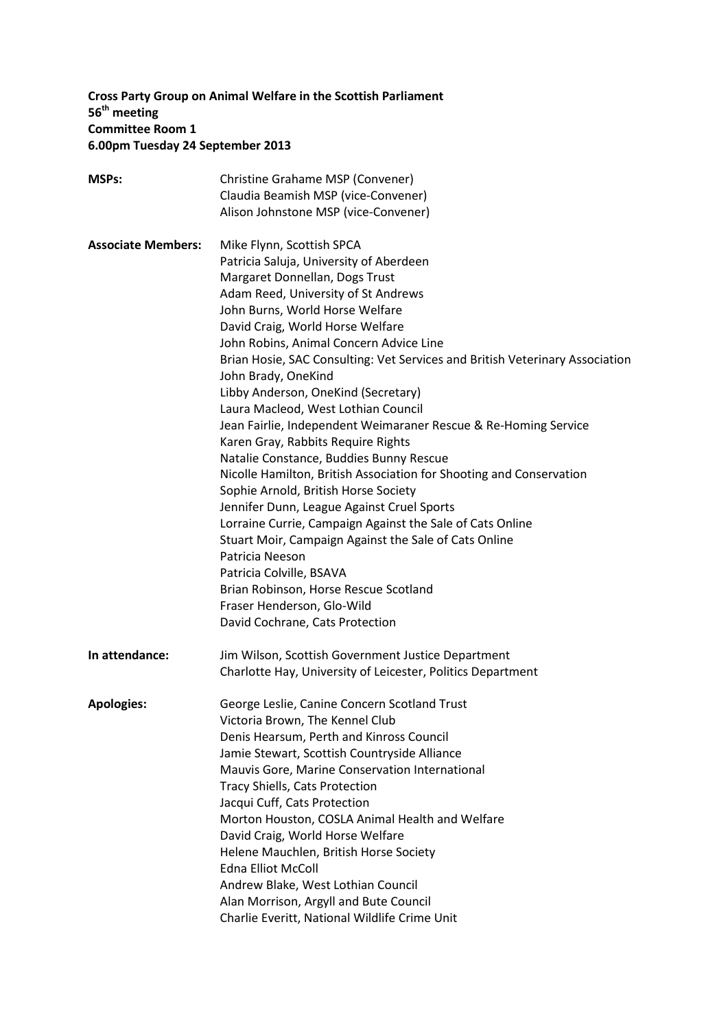# **Cross Party Group on Animal Welfare in the Scottish Parliament 56 th meeting Committee Room 1 6.00pm Tuesday 24 September 2013**

| <b>MSPs:</b>              | Christine Grahame MSP (Convener)                                             |
|---------------------------|------------------------------------------------------------------------------|
|                           | Claudia Beamish MSP (vice-Convener)                                          |
|                           | Alison Johnstone MSP (vice-Convener)                                         |
|                           |                                                                              |
| <b>Associate Members:</b> | Mike Flynn, Scottish SPCA<br>Patricia Saluja, University of Aberdeen         |
|                           |                                                                              |
|                           | Margaret Donnellan, Dogs Trust                                               |
|                           | Adam Reed, University of St Andrews                                          |
|                           | John Burns, World Horse Welfare                                              |
|                           | David Craig, World Horse Welfare                                             |
|                           | John Robins, Animal Concern Advice Line                                      |
|                           | Brian Hosie, SAC Consulting: Vet Services and British Veterinary Association |
|                           | John Brady, OneKind                                                          |
|                           | Libby Anderson, OneKind (Secretary)                                          |
|                           | Laura Macleod, West Lothian Council                                          |
|                           | Jean Fairlie, Independent Weimaraner Rescue & Re-Homing Service              |
|                           | Karen Gray, Rabbits Require Rights                                           |
|                           | Natalie Constance, Buddies Bunny Rescue                                      |
|                           | Nicolle Hamilton, British Association for Shooting and Conservation          |
|                           | Sophie Arnold, British Horse Society                                         |
|                           | Jennifer Dunn, League Against Cruel Sports                                   |
|                           | Lorraine Currie, Campaign Against the Sale of Cats Online                    |
|                           | Stuart Moir, Campaign Against the Sale of Cats Online                        |
|                           | Patricia Neeson                                                              |
|                           | Patricia Colville, BSAVA                                                     |
|                           | Brian Robinson, Horse Rescue Scotland                                        |
|                           | Fraser Henderson, Glo-Wild                                                   |
|                           | David Cochrane, Cats Protection                                              |
| In attendance:            | Jim Wilson, Scottish Government Justice Department                           |
|                           | Charlotte Hay, University of Leicester, Politics Department                  |
|                           |                                                                              |
| <b>Apologies:</b>         | George Leslie, Canine Concern Scotland Trust                                 |
|                           | Victoria Brown, The Kennel Club                                              |
|                           | Denis Hearsum, Perth and Kinross Council                                     |
|                           | Jamie Stewart, Scottish Countryside Alliance                                 |
|                           | Mauvis Gore, Marine Conservation International                               |
|                           | Tracy Shiells, Cats Protection                                               |
|                           | Jacqui Cuff, Cats Protection                                                 |
|                           | Morton Houston, COSLA Animal Health and Welfare                              |
|                           | David Craig, World Horse Welfare                                             |
|                           | Helene Mauchlen, British Horse Society                                       |
|                           | <b>Edna Elliot McColl</b>                                                    |
|                           | Andrew Blake, West Lothian Council                                           |
|                           | Alan Morrison, Argyll and Bute Council                                       |
|                           | Charlie Everitt, National Wildlife Crime Unit                                |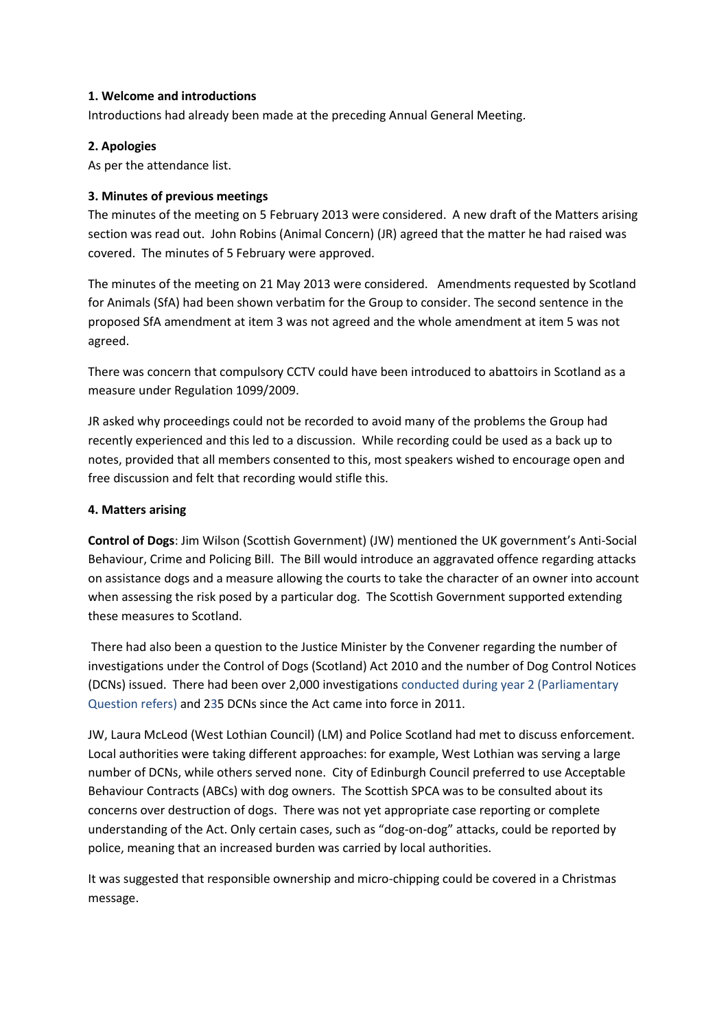## **1. Welcome and introductions**

Introductions had already been made at the preceding Annual General Meeting.

## **2. Apologies**

As per the attendance list.

## **3. Minutes of previous meetings**

The minutes of the meeting on 5 February 2013 were considered. A new draft of the Matters arising section was read out. John Robins (Animal Concern) (JR) agreed that the matter he had raised was covered. The minutes of 5 February were approved.

The minutes of the meeting on 21 May 2013 were considered. Amendments requested by Scotland for Animals (SfA) had been shown verbatim for the Group to consider. The second sentence in the proposed SfA amendment at item 3 was not agreed and the whole amendment at item 5 was not agreed.

There was concern that compulsory CCTV could have been introduced to abattoirs in Scotland as a measure under Regulation 1099/2009.

JR asked why proceedings could not be recorded to avoid many of the problems the Group had recently experienced and this led to a discussion. While recording could be used as a back up to notes, provided that all members consented to this, most speakers wished to encourage open and free discussion and felt that recording would stifle this.

## **4. Matters arising**

**Control of Dogs**: Jim Wilson (Scottish Government) (JW) mentioned the UK government's Anti-Social Behaviour, Crime and Policing Bill. The Bill would introduce an aggravated offence regarding attacks on assistance dogs and a measure allowing the courts to take the character of an owner into account when assessing the risk posed by a particular dog. The Scottish Government supported extending these measures to Scotland.

There had also been a question to the Justice Minister by the Convener regarding the number of investigations under the Control of Dogs (Scotland) Act 2010 and the number of Dog Control Notices (DCNs) issued. There had been over 2,000 investigations conducted during year 2 (Parliamentary Question refers) and 235 DCNs since the Act came into force in 2011.

JW, Laura McLeod (West Lothian Council) (LM) and Police Scotland had met to discuss enforcement. Local authorities were taking different approaches: for example, West Lothian was serving a large number of DCNs, while others served none. City of Edinburgh Council preferred to use Acceptable Behaviour Contracts (ABCs) with dog owners. The Scottish SPCA was to be consulted about its concerns over destruction of dogs. There was not yet appropriate case reporting or complete understanding of the Act. Only certain cases, such as "dog-on-dog" attacks, could be reported by police, meaning that an increased burden was carried by local authorities.

It was suggested that responsible ownership and micro-chipping could be covered in a Christmas message.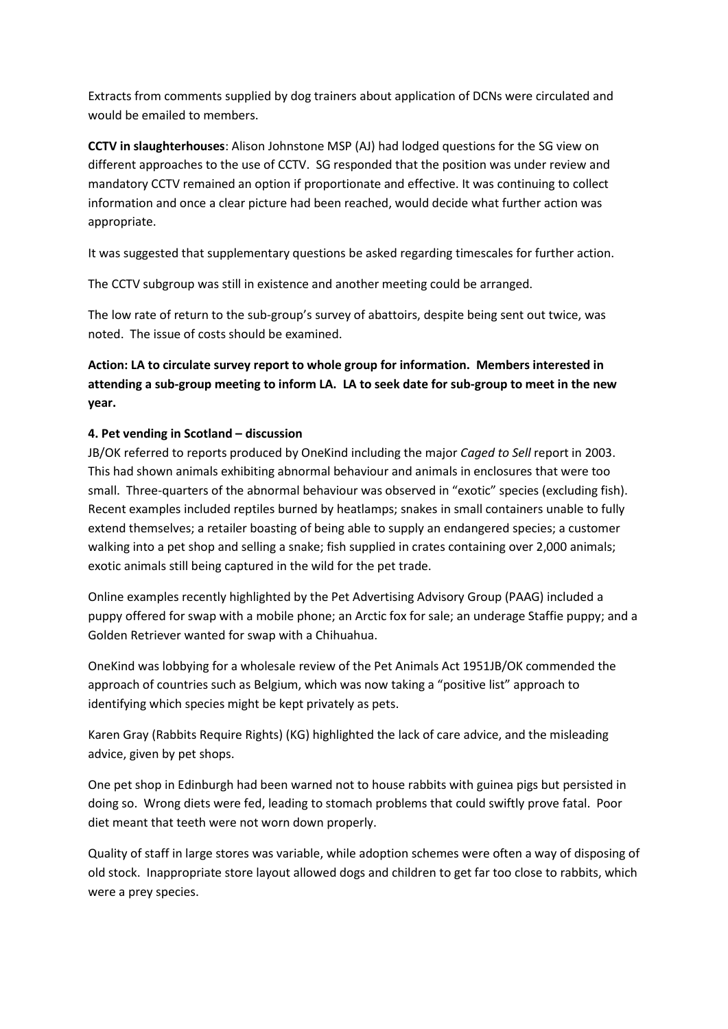Extracts from comments supplied by dog trainers about application of DCNs were circulated and would be emailed to members.

**CCTV in slaughterhouses**: Alison Johnstone MSP (AJ) had lodged questions for the SG view on different approaches to the use of CCTV. SG responded that the position was under review and mandatory CCTV remained an option if proportionate and effective. It was continuing to collect information and once a clear picture had been reached, would decide what further action was appropriate.

It was suggested that supplementary questions be asked regarding timescales for further action.

The CCTV subgroup was still in existence and another meeting could be arranged.

The low rate of return to the sub-group's survey of abattoirs, despite being sent out twice, was noted. The issue of costs should be examined.

# **Action: LA to circulate survey report to whole group for information. Members interested in attending a sub-group meeting to inform LA. LA to seek date for sub-group to meet in the new year.**

# **4. Pet vending in Scotland – discussion**

JB/OK referred to reports produced by OneKind including the major *Caged to Sell* report in 2003. This had shown animals exhibiting abnormal behaviour and animals in enclosures that were too small. Three-quarters of the abnormal behaviour was observed in "exotic" species (excluding fish). Recent examples included reptiles burned by heatlamps; snakes in small containers unable to fully extend themselves; a retailer boasting of being able to supply an endangered species; a customer walking into a pet shop and selling a snake; fish supplied in crates containing over 2,000 animals; exotic animals still being captured in the wild for the pet trade.

Online examples recently highlighted by the Pet Advertising Advisory Group (PAAG) included a puppy offered for swap with a mobile phone; an Arctic fox for sale; an underage Staffie puppy; and a Golden Retriever wanted for swap with a Chihuahua.

OneKind was lobbying for a wholesale review of the Pet Animals Act 1951JB/OK commended the approach of countries such as Belgium, which was now taking a "positive list" approach to identifying which species might be kept privately as pets.

Karen Gray (Rabbits Require Rights) (KG) highlighted the lack of care advice, and the misleading advice, given by pet shops.

One pet shop in Edinburgh had been warned not to house rabbits with guinea pigs but persisted in doing so. Wrong diets were fed, leading to stomach problems that could swiftly prove fatal. Poor diet meant that teeth were not worn down properly.

Quality of staff in large stores was variable, while adoption schemes were often a way of disposing of old stock. Inappropriate store layout allowed dogs and children to get far too close to rabbits, which were a prey species.